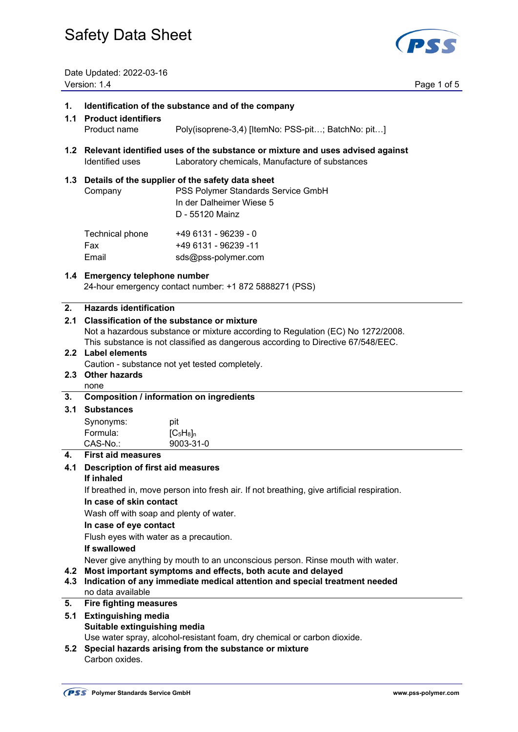

Date Updated: 2022-03-16 Version: 1.4 Page 1 of 5

| 1.<br>1.1  | Identification of the substance and of the company<br><b>Product identifiers</b>                                                                     |                                                                                                                                                                     |  |  |
|------------|------------------------------------------------------------------------------------------------------------------------------------------------------|---------------------------------------------------------------------------------------------------------------------------------------------------------------------|--|--|
|            | Product name                                                                                                                                         | Poly(isoprene-3,4) [ItemNo: PSS-pit; BatchNo: pit]                                                                                                                  |  |  |
|            | Identified uses                                                                                                                                      | 1.2 Relevant identified uses of the substance or mixture and uses advised against<br>Laboratory chemicals, Manufacture of substances                                |  |  |
|            | 1.3 Details of the supplier of the safety data sheet<br>PSS Polymer Standards Service GmbH<br>Company<br>In der Dalheimer Wiese 5<br>D - 55120 Mainz |                                                                                                                                                                     |  |  |
|            | Technical phone<br>Fax<br>Email                                                                                                                      | +49 6131 - 96239 - 0<br>+49 6131 - 96239 -11<br>sds@pss-polymer.com                                                                                                 |  |  |
|            | 1.4 Emergency telephone number<br>24-hour emergency contact number: +1 872 5888271 (PSS)                                                             |                                                                                                                                                                     |  |  |
| 2.         | <b>Hazards identification</b>                                                                                                                        |                                                                                                                                                                     |  |  |
| 2.1        |                                                                                                                                                      | <b>Classification of the substance or mixture</b>                                                                                                                   |  |  |
|            |                                                                                                                                                      | Not a hazardous substance or mixture according to Regulation (EC) No 1272/2008.<br>This substance is not classified as dangerous according to Directive 67/548/EEC. |  |  |
|            | 2.2 Label elements                                                                                                                                   |                                                                                                                                                                     |  |  |
|            |                                                                                                                                                      | Caution - substance not yet tested completely.                                                                                                                      |  |  |
|            | 2.3 Other hazards                                                                                                                                    |                                                                                                                                                                     |  |  |
|            | none<br><b>Composition / information on ingredients</b>                                                                                              |                                                                                                                                                                     |  |  |
| 3.<br>3.1  | <b>Substances</b>                                                                                                                                    |                                                                                                                                                                     |  |  |
|            |                                                                                                                                                      |                                                                                                                                                                     |  |  |
|            | Synonyms:<br>Formula:                                                                                                                                | pit<br>$[C_5H_8]_n$                                                                                                                                                 |  |  |
|            | CAS-No.:                                                                                                                                             | 9003-31-0                                                                                                                                                           |  |  |
| 4.         | <b>First aid measures</b>                                                                                                                            |                                                                                                                                                                     |  |  |
| 4.1        | <b>Description of first aid measures</b>                                                                                                             |                                                                                                                                                                     |  |  |
|            | If inhaled                                                                                                                                           |                                                                                                                                                                     |  |  |
|            |                                                                                                                                                      | If breathed in, move person into fresh air. If not breathing, give artificial respiration.                                                                          |  |  |
|            | In case of skin contact                                                                                                                              |                                                                                                                                                                     |  |  |
|            | Wash off with soap and plenty of water.<br>In case of eye contact                                                                                    |                                                                                                                                                                     |  |  |
|            | Flush eyes with water as a precaution.                                                                                                               |                                                                                                                                                                     |  |  |
|            | If swallowed                                                                                                                                         |                                                                                                                                                                     |  |  |
|            |                                                                                                                                                      | Never give anything by mouth to an unconscious person. Rinse mouth with water.                                                                                      |  |  |
| 4.2<br>4.3 | Most important symptoms and effects, both acute and delayed<br>Indication of any immediate medical attention and special treatment needed            |                                                                                                                                                                     |  |  |
| 5.         | no data available<br><b>Fire fighting measures</b>                                                                                                   |                                                                                                                                                                     |  |  |
| 5.1        | <b>Extinguishing media</b>                                                                                                                           |                                                                                                                                                                     |  |  |
|            | Suitable extinguishing media                                                                                                                         |                                                                                                                                                                     |  |  |
|            |                                                                                                                                                      | Use water spray, alcohol-resistant foam, dry chemical or carbon dioxide.                                                                                            |  |  |
| 5.2        | Carbon oxides.                                                                                                                                       | Special hazards arising from the substance or mixture                                                                                                               |  |  |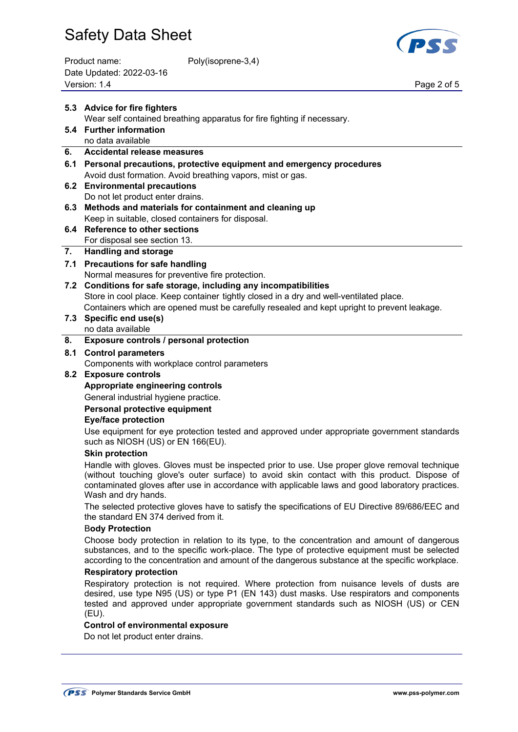| Product name:            | Poly(isoprene-3,4) |
|--------------------------|--------------------|
| Date Updated: 2022-03-16 |                    |
| Version: 1.4             |                    |



Page 2 of 5

|     | 5.3 Advice for fire fighters                                                                                                                                                                                                                                                                                            |  |  |
|-----|-------------------------------------------------------------------------------------------------------------------------------------------------------------------------------------------------------------------------------------------------------------------------------------------------------------------------|--|--|
|     | Wear self contained breathing apparatus for fire fighting if necessary.                                                                                                                                                                                                                                                 |  |  |
|     | 5.4 Further information                                                                                                                                                                                                                                                                                                 |  |  |
|     | no data available                                                                                                                                                                                                                                                                                                       |  |  |
| 6.  | <b>Accidental release measures</b>                                                                                                                                                                                                                                                                                      |  |  |
|     | 6.1 Personal precautions, protective equipment and emergency procedures                                                                                                                                                                                                                                                 |  |  |
|     | Avoid dust formation. Avoid breathing vapors, mist or gas.                                                                                                                                                                                                                                                              |  |  |
| 6.2 | <b>Environmental precautions</b>                                                                                                                                                                                                                                                                                        |  |  |
|     | Do not let product enter drains.                                                                                                                                                                                                                                                                                        |  |  |
| 6.3 | Methods and materials for containment and cleaning up                                                                                                                                                                                                                                                                   |  |  |
|     | Keep in suitable, closed containers for disposal.<br>6.4 Reference to other sections                                                                                                                                                                                                                                    |  |  |
|     | For disposal see section 13.                                                                                                                                                                                                                                                                                            |  |  |
| 7.  | <b>Handling and storage</b>                                                                                                                                                                                                                                                                                             |  |  |
|     | 7.1 Precautions for safe handling                                                                                                                                                                                                                                                                                       |  |  |
|     | Normal measures for preventive fire protection.                                                                                                                                                                                                                                                                         |  |  |
|     | 7.2 Conditions for safe storage, including any incompatibilities                                                                                                                                                                                                                                                        |  |  |
|     | Store in cool place. Keep container tightly closed in a dry and well-ventilated place.                                                                                                                                                                                                                                  |  |  |
|     | Containers which are opened must be carefully resealed and kept upright to prevent leakage.                                                                                                                                                                                                                             |  |  |
| 7.3 | Specific end use(s)                                                                                                                                                                                                                                                                                                     |  |  |
|     | no data available                                                                                                                                                                                                                                                                                                       |  |  |
| 8.  | Exposure controls / personal protection                                                                                                                                                                                                                                                                                 |  |  |
| 8.1 | <b>Control parameters</b>                                                                                                                                                                                                                                                                                               |  |  |
|     | Components with workplace control parameters                                                                                                                                                                                                                                                                            |  |  |
| 8.2 | <b>Exposure controls</b>                                                                                                                                                                                                                                                                                                |  |  |
|     | Appropriate engineering controls                                                                                                                                                                                                                                                                                        |  |  |
|     | General industrial hygiene practice.                                                                                                                                                                                                                                                                                    |  |  |
|     | Personal protective equipment                                                                                                                                                                                                                                                                                           |  |  |
|     | <b>Eye/face protection</b>                                                                                                                                                                                                                                                                                              |  |  |
|     | Use equipment for eye protection tested and approved under appropriate government standards<br>such as NIOSH (US) or EN 166(EU).                                                                                                                                                                                        |  |  |
|     | <b>Skin protection</b>                                                                                                                                                                                                                                                                                                  |  |  |
|     | Handle with gloves. Gloves must be inspected prior to use. Use proper glove removal technique<br>(without touching glove's outer surface) to avoid skin contact with this product. Dispose of<br>contaminated gloves after use in accordance with applicable laws and good laboratory practices.<br>Wash and dry hands. |  |  |
|     | The selected protective gloves have to satisfy the specifications of EU Directive 89/686/EEC and<br>the standard EN 374 derived from it.                                                                                                                                                                                |  |  |
|     | <b>Body Protection</b>                                                                                                                                                                                                                                                                                                  |  |  |
|     | Choose body protection in relation to its type, to the concentration and amount of dangerous<br>substances, and to the specific work-place. The type of protective equipment must be selected<br>according to the concentration and amount of the dangerous substance at the specific workplace.                        |  |  |
|     | <b>Respiratory protection</b>                                                                                                                                                                                                                                                                                           |  |  |
|     | Respiratory protection is not required. Where protection from nuisance levels of dusts are<br>desired, use type N95 (US) or type P1 (EN 143) dust masks. Use respirators and components<br>tested and approved under appropriate government standards such as NIOSH (US) or CEN<br>(EU).                                |  |  |
|     | <b>Control of environmental exposure</b>                                                                                                                                                                                                                                                                                |  |  |
|     | Do not let product enter drains.                                                                                                                                                                                                                                                                                        |  |  |
|     |                                                                                                                                                                                                                                                                                                                         |  |  |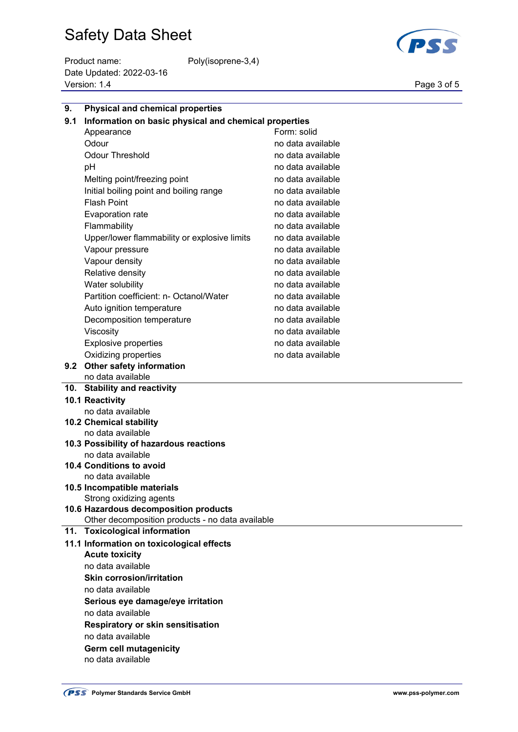Product name: Poly(isoprene-3,4) Date Updated: 2022-03-16 Version: 1.4 Page 3 of 5



| 9.  | <b>Physical and chemical properties</b>               |                   |  |  |
|-----|-------------------------------------------------------|-------------------|--|--|
| 9.1 | Information on basic physical and chemical properties |                   |  |  |
|     | Appearance                                            | Form: solid       |  |  |
|     | Odour                                                 | no data available |  |  |
|     | <b>Odour Threshold</b>                                | no data available |  |  |
|     | pH                                                    | no data available |  |  |
|     | Melting point/freezing point                          | no data available |  |  |
|     | Initial boiling point and boiling range               | no data available |  |  |
|     | <b>Flash Point</b>                                    | no data available |  |  |
|     | Evaporation rate                                      | no data available |  |  |
|     | Flammability                                          | no data available |  |  |
|     | Upper/lower flammability or explosive limits          | no data available |  |  |
|     | Vapour pressure                                       | no data available |  |  |
|     | Vapour density                                        | no data available |  |  |
|     | Relative density                                      | no data available |  |  |
|     | Water solubility                                      | no data available |  |  |
|     | Partition coefficient: n- Octanol/Water               | no data available |  |  |
|     | Auto ignition temperature                             | no data available |  |  |
|     | Decomposition temperature                             | no data available |  |  |
|     | Viscosity                                             | no data available |  |  |
|     | <b>Explosive properties</b>                           | no data available |  |  |
|     | Oxidizing properties                                  | no data available |  |  |
|     | 9.2 Other safety information                          |                   |  |  |
|     | no data available                                     |                   |  |  |
|     | 10. Stability and reactivity                          |                   |  |  |
|     | 10.1 Reactivity                                       |                   |  |  |
|     | no data available                                     |                   |  |  |
|     | 10.2 Chemical stability                               |                   |  |  |
|     | no data available                                     |                   |  |  |
|     | 10.3 Possibility of hazardous reactions               |                   |  |  |
|     | no data available                                     |                   |  |  |
|     | <b>10.4 Conditions to avoid</b><br>no data available  |                   |  |  |
|     | 10.5 Incompatible materials                           |                   |  |  |
|     | Strong oxidizing agents                               |                   |  |  |
|     | 10.6 Hazardous decomposition products                 |                   |  |  |
|     | Other decomposition products - no data available      |                   |  |  |
| 11. | <b>Toxicological information</b>                      |                   |  |  |
|     | 11.1 Information on toxicological effects             |                   |  |  |
|     | <b>Acute toxicity</b>                                 |                   |  |  |
|     | no data available<br><b>Skin corrosion/irritation</b> |                   |  |  |
|     |                                                       |                   |  |  |
|     | no data available                                     |                   |  |  |
|     | Serious eye damage/eye irritation                     |                   |  |  |
|     | no data available                                     |                   |  |  |
|     | <b>Respiratory or skin sensitisation</b>              |                   |  |  |
|     | no data available                                     |                   |  |  |
|     | Germ cell mutagenicity                                |                   |  |  |

no data available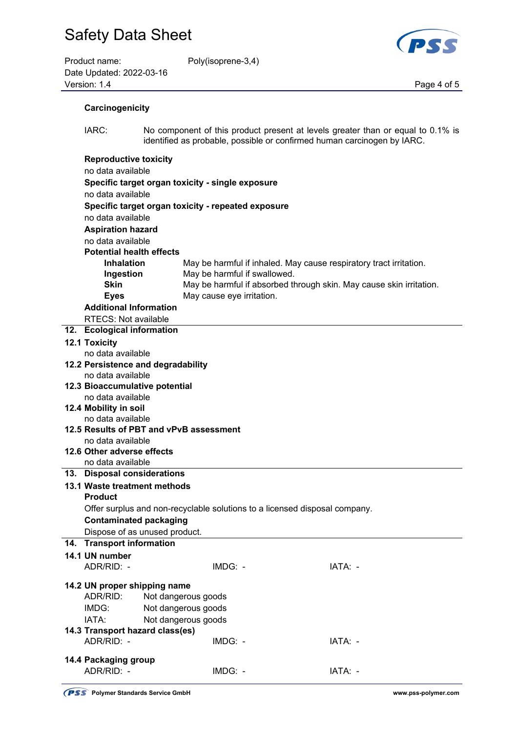| Product name:            | Poly(isoprene-3,4) |             |
|--------------------------|--------------------|-------------|
| Date Updated: 2022-03-16 |                    |             |
| Version: 1.4             |                    | Page 4 of 5 |

oly(isoprene-3,4)



| Carcinogenicity |  |
|-----------------|--|
|                 |  |

 IARC: No component of this product present at levels greater than or equal to 0.1% is identified as probable, possible or confirmed human carcinogen by IARC.

| <b>Reproductive toxicity</b>                     |                                                                            |                                                                     |
|--------------------------------------------------|----------------------------------------------------------------------------|---------------------------------------------------------------------|
| no data available                                |                                                                            |                                                                     |
| Specific target organ toxicity - single exposure |                                                                            |                                                                     |
| no data available                                |                                                                            |                                                                     |
|                                                  | Specific target organ toxicity - repeated exposure                         |                                                                     |
| no data available                                |                                                                            |                                                                     |
| <b>Aspiration hazard</b>                         |                                                                            |                                                                     |
| no data available                                |                                                                            |                                                                     |
| <b>Potential health effects</b>                  |                                                                            |                                                                     |
| <b>Inhalation</b>                                |                                                                            | May be harmful if inhaled. May cause respiratory tract irritation.  |
| Ingestion                                        | May be harmful if swallowed.                                               |                                                                     |
| <b>Skin</b>                                      |                                                                            | May be harmful if absorbed through skin. May cause skin irritation. |
| <b>Eyes</b>                                      | May cause eye irritation.                                                  |                                                                     |
| <b>Additional Information</b>                    |                                                                            |                                                                     |
|                                                  |                                                                            |                                                                     |
| RTECS: Not available                             |                                                                            |                                                                     |
| 12. Ecological information                       |                                                                            |                                                                     |
| 12.1 Toxicity                                    |                                                                            |                                                                     |
| no data available                                |                                                                            |                                                                     |
| 12.2 Persistence and degradability               |                                                                            |                                                                     |
| no data available                                |                                                                            |                                                                     |
| 12.3 Bioaccumulative potential                   |                                                                            |                                                                     |
| no data available                                |                                                                            |                                                                     |
| 12.4 Mobility in soil                            |                                                                            |                                                                     |
| no data available                                |                                                                            |                                                                     |
| 12.5 Results of PBT and vPvB assessment          |                                                                            |                                                                     |
| no data available                                |                                                                            |                                                                     |
| 12.6 Other adverse effects                       |                                                                            |                                                                     |
| no data available                                |                                                                            |                                                                     |
| 13. Disposal considerations                      |                                                                            |                                                                     |
| 13.1 Waste treatment methods                     |                                                                            |                                                                     |
| <b>Product</b>                                   |                                                                            |                                                                     |
|                                                  | Offer surplus and non-recyclable solutions to a licensed disposal company. |                                                                     |
| <b>Contaminated packaging</b>                    |                                                                            |                                                                     |
| Dispose of as unused product.                    |                                                                            |                                                                     |
| 14. Transport information                        |                                                                            |                                                                     |
| 14.1 UN number                                   |                                                                            |                                                                     |
| ADR/RID: -                                       | IMDG: -                                                                    | IATA: -                                                             |
| 14.2 UN proper shipping name                     |                                                                            |                                                                     |
| ADR/RID:                                         | Not dangerous goods                                                        |                                                                     |
|                                                  |                                                                            |                                                                     |
| IMDG:                                            | Not dangerous goods                                                        |                                                                     |
| IATA:                                            | Not dangerous goods                                                        |                                                                     |
| 14.3 Transport hazard class(es)                  |                                                                            |                                                                     |
| ADR/RID: -                                       | IMDG: -                                                                    | IATA: -                                                             |
| 14.4 Packaging group                             |                                                                            |                                                                     |
| ADR/RID: -                                       | IMDG: -                                                                    | IATA: -                                                             |